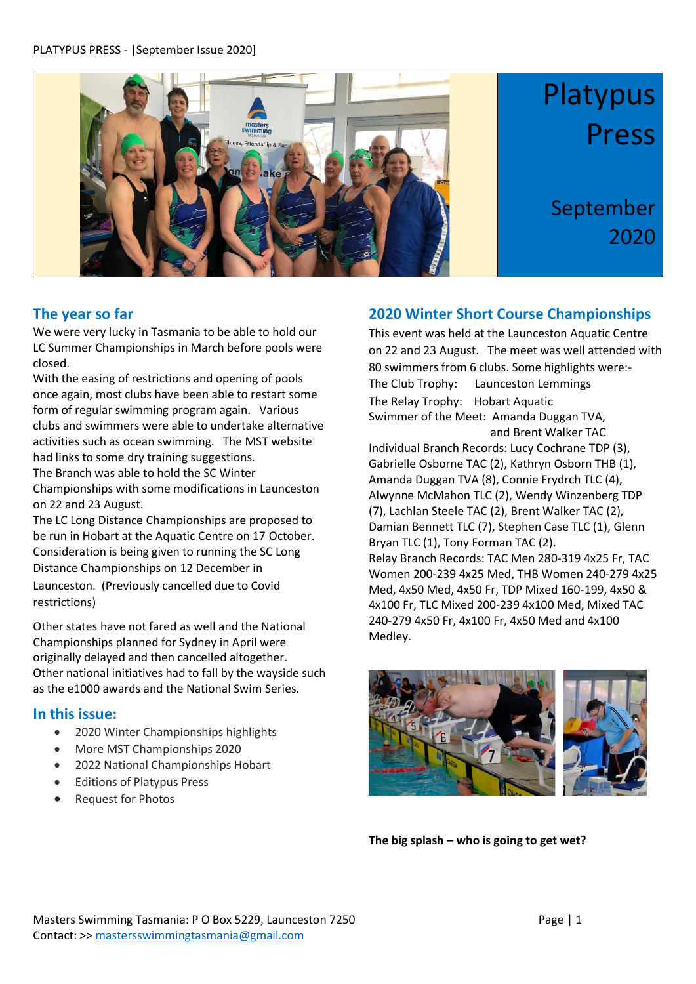

#### **The year so far**

We were very lucky in Tasmania to be able to hold our LC Summer Championships in March before pools were closed.

With the easing of restrictions and opening of pools once again, most clubs have been able to restart some form of regular swimming program again. Various clubs and swimmers were able to undertake alternative activities such as ocean swimming. The MST website had links to some dry training suggestions.

The Branch was able to hold the SC Winter Championships with some modifications in Launceston on 22 and 23 August.

The LC Long Distance Championships are proposed to be run in Hobart at the Aquatic Centre on 17 October. Consideration is being given to running the SC Long Distance Championships on 12 December in Launceston. (Previously cancelled due to Covid restrictions)

Other states have not fared as well and the National Championships planned for Sydney in April were originally delayed and then cancelled altogether. Other national initiatives had to fall by the wayside such as the e1000 awards and the National Swim Series.

#### **In this issue:**

- 2020 Winter Championships highlights
- More MST Championships 2020
- 2022 National Championships Hobart
- Editions of Platypus Press
- Request for Photos

### **2020 Winter Short Course Championships**

This event was held at the Launceston Aquatic Centre on 22 and 23 August. The meet was well attended with 80 swimmers from 6 clubs. Some highlights were:- The Club Trophy: Launceston Lemmings The Relay Trophy: Hobart Aquatic Swimmer of the Meet: Amanda Duggan TVA, and Brent Walker TAC

Individual Branch Records: Lucy Cochrane TDP (3), Gabrielle Osborne TAC (2), Kathryn Osborn THB (1), Amanda Duggan TVA (8), Connie Frydrch TLC (4), Alwynne McMahon TLC (2), Wendy Winzenberg TDP (7), Lachlan Steele TAC (2), Brent Walker TAC (2), Damian Bennett TLC (7), Stephen Case TLC (1), Glenn Bryan TLC (1), Tony Forman TAC (2). Relay Branch Records: TAC Men 280-319 4x25 Fr, TAC Women 200-239 4x25 Med, THB Women 240-279 4x25 Med, 4x50 Med, 4x50 Fr, TDP Mixed 160-199, 4x50 & 4x100 Fr, TLC Mixed 200-239 4x100 Med, Mixed TAC 240-279 4x50 Fr, 4x100 Fr, 4x50 Med and 4x100 Medley.



**The big splash – who is going to get wet?**